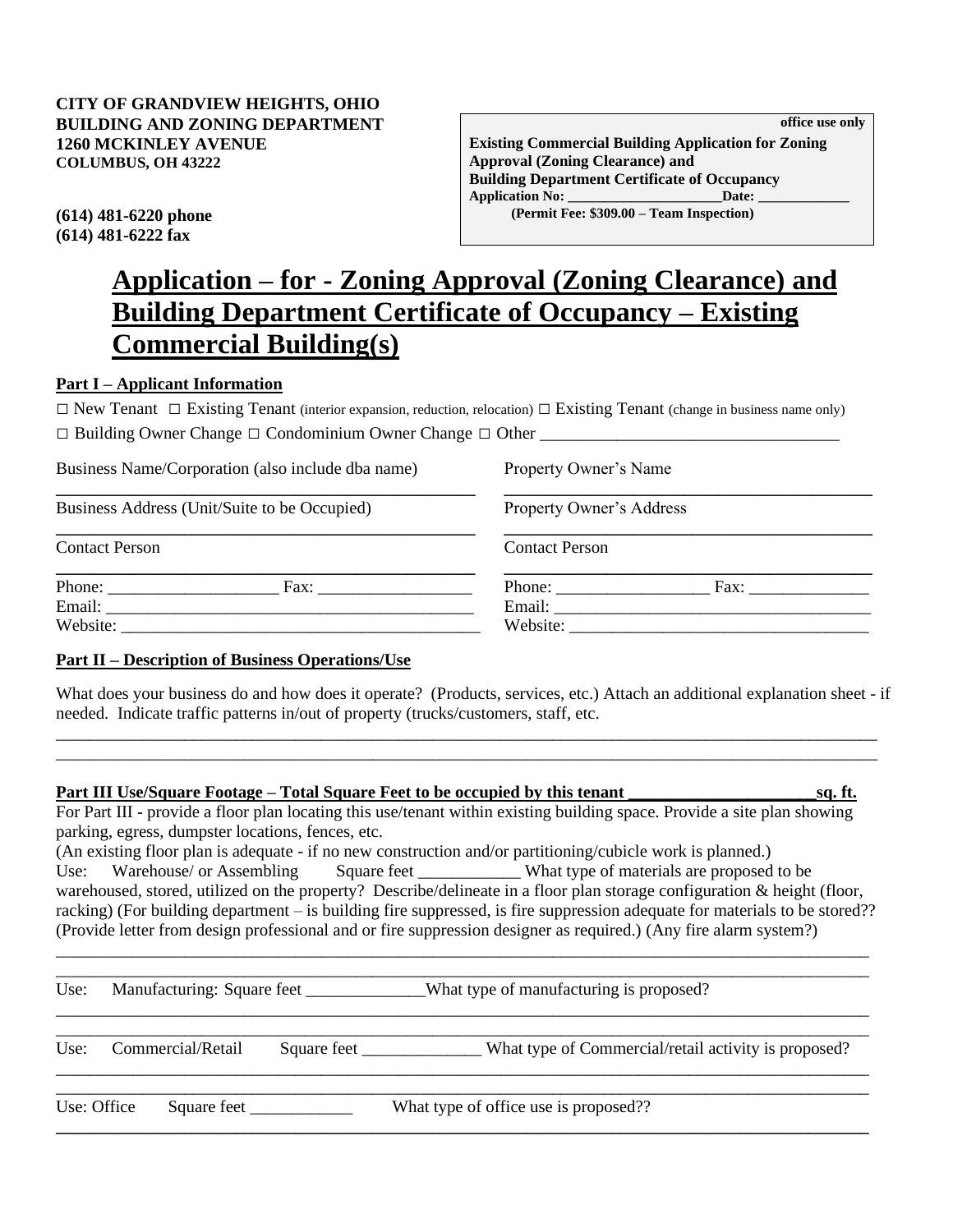**Existing Commercial Building Application for Zoning Approval (Zoning Clearance) and Building Department Certificate of Occupancy Application No: \_\_\_\_\_\_\_\_\_\_\_\_\_\_\_\_\_\_\_\_\_\_Date: \_\_\_\_\_\_\_\_\_\_\_\_\_ (614) 481-6220 phone (Permit Fee: \$309.00 – Team Inspection)**

**(614) 481-6222 fax**

# **Application – for - Zoning Approval (Zoning Clearance) and Building Department Certificate of Occupancy – Existing Commercial Building(s)**

## **Part I – Applicant Information**

 $\Box$  New Tenant  $\Box$  Existing Tenant (interior expansion, reduction, relocation)  $\Box$  Existing Tenant (change in business name only)

**\_\_\_\_\_\_\_\_\_\_\_\_\_\_\_\_\_\_\_\_\_\_\_\_\_\_\_\_\_\_\_\_\_\_\_\_\_\_\_\_\_\_\_\_\_\_\_\_\_ \_\_\_\_\_\_\_\_\_\_\_\_\_\_\_\_\_\_\_\_\_\_\_\_\_\_\_\_\_\_\_\_\_\_\_\_\_\_\_\_\_\_\_**

| $\Box$ Building Owner Change $\Box$ Condominium Owner Change $\Box$ Other |  |
|---------------------------------------------------------------------------|--|
|---------------------------------------------------------------------------|--|

Business Name/Corporation (also include dba name) Property Owner's Name

Business Address (Unit/Suite to be Occupied) Property Owner's Address

**\_\_\_\_\_\_\_\_\_\_\_\_\_\_\_\_\_\_\_\_\_\_\_\_\_\_\_\_\_\_\_\_\_\_\_\_\_\_\_\_\_\_\_\_\_\_\_\_\_ \_\_\_\_\_\_\_\_\_\_\_\_\_\_\_\_\_\_\_\_\_\_\_\_\_\_\_\_\_\_\_\_\_\_\_\_\_\_\_\_\_\_\_**

Contact Person Contact Person

| Phone:   | Fax. | Phone:   | Fax: |
|----------|------|----------|------|
| Email:   |      | Email:   |      |
| Website: |      | Website: |      |

# **Part II – Description of Business Operations/Use**

What does your business do and how does it operate? (Products, services, etc.) Attach an additional explanation sheet - if needed. Indicate traffic patterns in/out of property (trucks/customers, staff, etc.

\_\_\_\_\_\_\_\_\_\_\_\_\_\_\_\_\_\_\_\_\_\_\_\_\_\_\_\_\_\_\_\_\_\_\_\_\_\_\_\_\_\_\_\_\_\_\_\_\_\_\_\_\_\_\_\_\_\_\_\_\_\_\_\_\_\_\_\_\_\_\_\_\_\_\_\_\_\_\_\_\_\_\_\_\_\_\_\_\_\_\_\_\_\_\_\_ \_\_\_\_\_\_\_\_\_\_\_\_\_\_\_\_\_\_\_\_\_\_\_\_\_\_\_\_\_\_\_\_\_\_\_\_\_\_\_\_\_\_\_\_\_\_\_\_\_\_\_\_\_\_\_\_\_\_\_\_\_\_\_\_\_\_\_\_\_\_\_\_\_\_\_\_\_\_\_\_\_\_\_\_\_\_\_\_\_\_\_\_\_\_\_\_

| For Part III - provide a floor plan locating this use/tenant within existing building space. Provide a site plan showing                                                                                                                                 |  |
|----------------------------------------------------------------------------------------------------------------------------------------------------------------------------------------------------------------------------------------------------------|--|
| parking, egress, dumpster locations, fences, etc.                                                                                                                                                                                                        |  |
| (An existing floor plan is adequate - if no new construction and/or partitioning/cubicle work is planned.)                                                                                                                                               |  |
| Use: Warehouse/ or Assembling Square feet ____________ What type of materials are proposed to be                                                                                                                                                         |  |
| warehoused, stored, utilized on the property? Describe/delineate in a floor plan storage configuration $\&$ height (floor,<br>racking) (For building department – is building fire suppressed, is fire suppression adequate for materials to be stored?? |  |
| (Provide letter from design professional and or fire suppression designer as required.) (Any fire alarm system?)                                                                                                                                         |  |

| Use: |             | Manufacturing: Square feet |             | What type of manufacturing is proposed?              |  |
|------|-------------|----------------------------|-------------|------------------------------------------------------|--|
| Use: |             | Commercial/Retail          | Square feet | What type of Commercial/retail activity is proposed? |  |
|      | Use: Office | Square feet                |             | What type of office use is proposed??                |  |